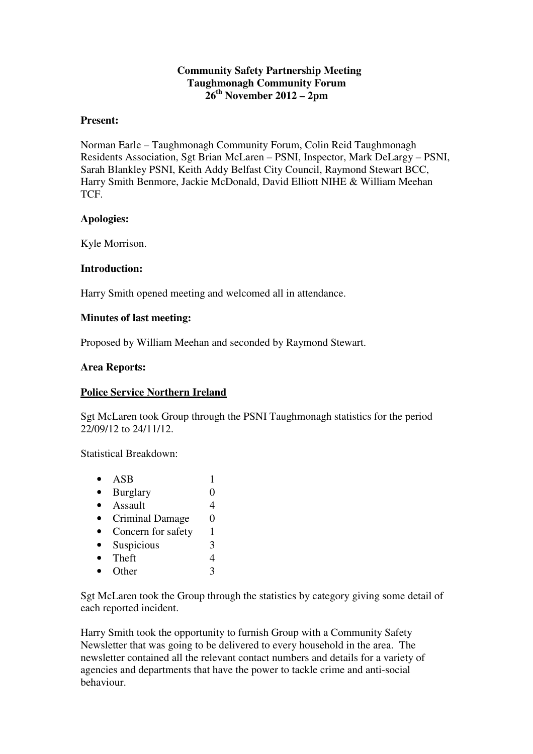### **Community Safety Partnership Meeting Taughmonagh Community Forum 26th November 2012 – 2pm**

#### **Present:**

Norman Earle – Taughmonagh Community Forum, Colin Reid Taughmonagh Residents Association, Sgt Brian McLaren – PSNI, Inspector, Mark DeLargy – PSNI, Sarah Blankley PSNI, Keith Addy Belfast City Council, Raymond Stewart BCC, Harry Smith Benmore, Jackie McDonald, David Elliott NIHE & William Meehan **TCF** 

### **Apologies:**

Kyle Morrison.

### **Introduction:**

Harry Smith opened meeting and welcomed all in attendance.

### **Minutes of last meeting:**

Proposed by William Meehan and seconded by Raymond Stewart.

### **Area Reports:**

# **Police Service Northern Ireland**

Sgt McLaren took Group through the PSNI Taughmonagh statistics for the period 22/09/12 to 24/11/12.

Statistical Breakdown:

| ASB                    |   |
|------------------------|---|
| <b>Burglary</b>        |   |
| Assault                | 4 |
| <b>Criminal Damage</b> | 0 |
| Concern for safety     | 1 |
| Suspicious             | 3 |
| Theft                  |   |
| Other                  |   |
|                        |   |

Sgt McLaren took the Group through the statistics by category giving some detail of each reported incident.

Harry Smith took the opportunity to furnish Group with a Community Safety Newsletter that was going to be delivered to every household in the area. The newsletter contained all the relevant contact numbers and details for a variety of agencies and departments that have the power to tackle crime and anti-social behaviour.